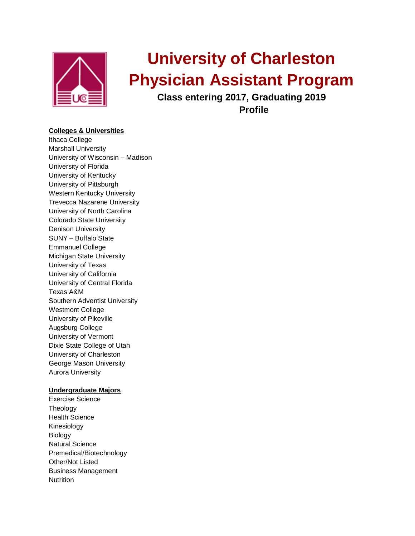

# **University of Charleston Physician Assistant Program**

**Class entering 2017, Graduating 2019 Profile**

# **Colleges & Universities**

Ithaca College Marshall University University of Wisconsin – Madison University of Florida University of Kentucky University of Pittsburgh Western Kentucky University Trevecca Nazarene University University of North Carolina Colorado State University Denison University SUNY – Buffalo State Emmanuel College Michigan State University University of Texas University of California University of Central Florida Texas A&M Southern Adventist University Westmont College University of Pikeville Augsburg College University of Vermont Dixie State College of Utah University of Charleston George Mason University Aurora University

## **Undergraduate Majors**

Exercise Science Theology Health Science Kinesiology Biology Natural Science Premedical/Biotechnology Other/Not Listed Business Management **Nutrition**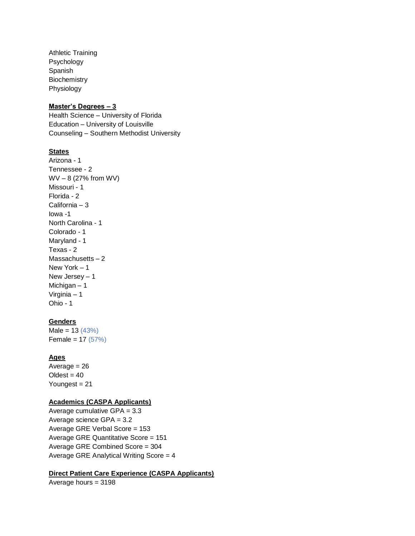Athletic Training Psychology Spanish **Biochemistry** Physiology

#### **Master's Degrees – 3**

Health Science – University of Florida Education – University of Louisville Counseling – Southern Methodist University

#### **States**

Arizona - 1 Tennessee - 2 WV – 8 (27% from WV) Missouri - 1 Florida - 2 California – 3 Iowa -1 North Carolina - 1 Colorado - 1 Maryland - 1 Texas - 2 Massachusetts – 2 New York – 1 New Jersey – 1 Michigan – 1 Virginia – 1 Ohio - 1

# **Genders**

 $Male = 13 (43%)$ Female =  $17 (57%)$ 

#### **Ages**

Average  $= 26$  $O$ ldest = 40 Youngest = 21

# **Academics (CASPA Applicants)**

Average cumulative GPA = 3.3 Average science GPA = 3.2 Average GRE Verbal Score = 153 Average GRE Quantitative Score = 151 Average GRE Combined Score = 304 Average GRE Analytical Writing Score = 4

## **Direct Patient Care Experience (CASPA Applicants)**

Average hours = 3198